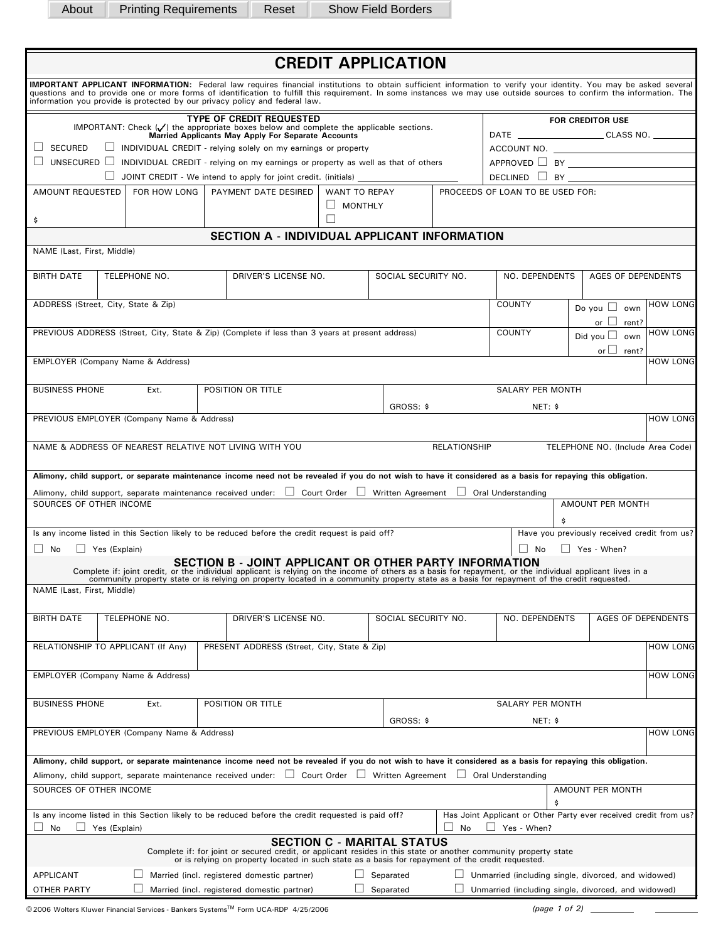About Printing Requirements Reset Show Field Borders

| <b>CREDIT APPLICATION</b>                                                                                                                                                                                                                                                                                                                                                                                                |                                                                                                                 |                                            |                |                                                                                                                                                               |  |                     |         |                         |                                                          |                                              |                 |  |  |
|--------------------------------------------------------------------------------------------------------------------------------------------------------------------------------------------------------------------------------------------------------------------------------------------------------------------------------------------------------------------------------------------------------------------------|-----------------------------------------------------------------------------------------------------------------|--------------------------------------------|----------------|---------------------------------------------------------------------------------------------------------------------------------------------------------------|--|---------------------|---------|-------------------------|----------------------------------------------------------|----------------------------------------------|-----------------|--|--|
| IMPORTANT APPLICANT INFORMATION: Federal law requires financial institutions to obtain sufficient information to verify your identity. You may be asked several<br>questions and to provide one or more forms of identification to fulfill this requirement. In some instances we may use outside sources to confirm the information. The<br>information you provide is protected by our privacy policy and federal law. |                                                                                                                 |                                            |                |                                                                                                                                                               |  |                     |         |                         |                                                          |                                              |                 |  |  |
| <b>TYPE OF CREDIT REQUESTED</b>                                                                                                                                                                                                                                                                                                                                                                                          |                                                                                                                 |                                            |                |                                                                                                                                                               |  |                     |         |                         | <b>FOR CREDITOR USE</b>                                  |                                              |                 |  |  |
| IMPORTANT: Check $(\checkmark)$ the appropriate boxes below and complete the applicable sections.<br><b>Married Applicants May Apply For Separate Accounts</b>                                                                                                                                                                                                                                                           |                                                                                                                 |                                            |                |                                                                                                                                                               |  |                     |         |                         | DATE _________________________________CLASS NO. ________ |                                              |                 |  |  |
| $\Box$ SECURED<br>$\Box$ INDIVIDUAL CREDIT - relying solely on my earnings or property                                                                                                                                                                                                                                                                                                                                   |                                                                                                                 |                                            |                |                                                                                                                                                               |  |                     |         |                         |                                                          |                                              |                 |  |  |
| $\Box$ UNSECURED $\Box$ INDIVIDUAL CREDIT - relying on my earnings or property as well as that of others                                                                                                                                                                                                                                                                                                                 |                                                                                                                 |                                            |                |                                                                                                                                                               |  |                     |         |                         | DECLINED $\Box$ BY $\Box$                                |                                              |                 |  |  |
| $\Box$ JOINT CREDIT - We intend to apply for joint credit. (initials)<br>AMOUNT REQUESTED<br>PAYMENT DATE DESIRED<br>FOR HOW LONG<br><b>WANT TO REPAY</b>                                                                                                                                                                                                                                                                |                                                                                                                 |                                            |                |                                                                                                                                                               |  |                     |         |                         | PROCEEDS OF LOAN TO BE USED FOR:                         |                                              |                 |  |  |
| \$                                                                                                                                                                                                                                                                                                                                                                                                                       |                                                                                                                 |                                            | $\Box$ MONTHLY |                                                                                                                                                               |  |                     |         |                         |                                                          |                                              |                 |  |  |
| SECTION A - INDIVIDUAL APPLICANT INFORMATION                                                                                                                                                                                                                                                                                                                                                                             |                                                                                                                 |                                            |                |                                                                                                                                                               |  |                     |         |                         |                                                          |                                              |                 |  |  |
| NAME (Last, First, Middle)                                                                                                                                                                                                                                                                                                                                                                                               |                                                                                                                 |                                            |                |                                                                                                                                                               |  |                     |         |                         |                                                          |                                              |                 |  |  |
|                                                                                                                                                                                                                                                                                                                                                                                                                          |                                                                                                                 |                                            |                |                                                                                                                                                               |  |                     |         |                         |                                                          |                                              |                 |  |  |
| <b>BIRTH DATE</b>                                                                                                                                                                                                                                                                                                                                                                                                        | TELEPHONE NO.                                                                                                   |                                            |                | DRIVER'S LICENSE NO.                                                                                                                                          |  | SOCIAL SECURITY NO. |         | NO. DEPENDENTS          |                                                          | AGES OF DEPENDENTS                           |                 |  |  |
|                                                                                                                                                                                                                                                                                                                                                                                                                          |                                                                                                                 |                                            |                |                                                                                                                                                               |  |                     |         | COUNTY                  |                                                          |                                              |                 |  |  |
| ADDRESS (Street, City, State & Zip)                                                                                                                                                                                                                                                                                                                                                                                      |                                                                                                                 |                                            |                |                                                                                                                                                               |  |                     |         |                         |                                                          | Do you $\Box$ own                            | <b>HOW LONG</b> |  |  |
|                                                                                                                                                                                                                                                                                                                                                                                                                          |                                                                                                                 |                                            |                | PREVIOUS ADDRESS (Street, City, State & Zip) (Complete if less than 3 years at present address)                                                               |  |                     |         | <b>COUNTY</b>           |                                                          | or $\Box$ rent?                              | <b>HOW LONG</b> |  |  |
|                                                                                                                                                                                                                                                                                                                                                                                                                          |                                                                                                                 |                                            |                |                                                                                                                                                               |  |                     |         |                         |                                                          | Did you $\square$ own<br>or $\Box$ rent?     |                 |  |  |
| EMPLOYER (Company Name & Address)                                                                                                                                                                                                                                                                                                                                                                                        |                                                                                                                 |                                            |                |                                                                                                                                                               |  |                     |         |                         |                                                          |                                              | <b>HOW LONG</b> |  |  |
|                                                                                                                                                                                                                                                                                                                                                                                                                          |                                                                                                                 |                                            |                |                                                                                                                                                               |  |                     |         |                         |                                                          |                                              |                 |  |  |
| <b>BUSINESS PHONE</b>                                                                                                                                                                                                                                                                                                                                                                                                    |                                                                                                                 | Ext.                                       |                | POSITION OR TITLE                                                                                                                                             |  |                     |         | <b>SALARY PER MONTH</b> |                                                          |                                              |                 |  |  |
|                                                                                                                                                                                                                                                                                                                                                                                                                          |                                                                                                                 |                                            |                |                                                                                                                                                               |  | GROSS: \$           | NET: \$ |                         |                                                          |                                              |                 |  |  |
|                                                                                                                                                                                                                                                                                                                                                                                                                          |                                                                                                                 | PREVIOUS EMPLOYER (Company Name & Address) |                |                                                                                                                                                               |  |                     |         |                         |                                                          |                                              | <b>HOW LONG</b> |  |  |
| NAME & ADDRESS OF NEAREST RELATIVE NOT LIVING WITH YOU<br><b>RELATIONSHIP</b><br>TELEPHONE NO. (Include Area Code)                                                                                                                                                                                                                                                                                                       |                                                                                                                 |                                            |                |                                                                                                                                                               |  |                     |         |                         |                                                          |                                              |                 |  |  |
|                                                                                                                                                                                                                                                                                                                                                                                                                          |                                                                                                                 |                                            |                |                                                                                                                                                               |  |                     |         |                         |                                                          |                                              |                 |  |  |
| Alimony, child support, or separate maintenance income need not be revealed if you do not wish to have it considered as a basis for repaying this obligation.<br>Alimony, child support, separate maintenance received under: □ Court Order □ Written Agreement □ Oral Understanding                                                                                                                                     |                                                                                                                 |                                            |                |                                                                                                                                                               |  |                     |         |                         |                                                          |                                              |                 |  |  |
| SOURCES OF OTHER INCOME                                                                                                                                                                                                                                                                                                                                                                                                  |                                                                                                                 |                                            |                |                                                                                                                                                               |  |                     |         |                         |                                                          | AMOUNT PER MONTH                             |                 |  |  |
|                                                                                                                                                                                                                                                                                                                                                                                                                          |                                                                                                                 |                                            |                |                                                                                                                                                               |  |                     |         |                         |                                                          |                                              |                 |  |  |
|                                                                                                                                                                                                                                                                                                                                                                                                                          |                                                                                                                 |                                            |                | Is any income listed in this Section likely to be reduced before the credit request is paid off?                                                              |  |                     |         |                         |                                                          | Have you previously received credit from us? |                 |  |  |
| $\Box$<br>No                                                                                                                                                                                                                                                                                                                                                                                                             | Yes (Explain)                                                                                                   |                                            |                |                                                                                                                                                               |  |                     |         |                         |                                                          | $\Box$ Yes - When?                           |                 |  |  |
| <b>SECTION B - JOINT APPLICANT OR OTHER PARTY INFORMATION</b><br>Complete if: joint credit, or the individual applicant is relying on the income of others as a basis for repayment, or the individual applicant lives in a<br>community property state or is relying on property located in a community property state as a basis for repayment of the credit requested.<br>NAME (Last, First, Middle)                  |                                                                                                                 |                                            |                |                                                                                                                                                               |  |                     |         |                         |                                                          |                                              |                 |  |  |
| <b>BIRTH DATE</b><br>TELEPHONE NO.<br>DRIVER'S LICENSE NO.                                                                                                                                                                                                                                                                                                                                                               |                                                                                                                 |                                            |                |                                                                                                                                                               |  | SOCIAL SECURITY NO. |         | NO. DEPENDENTS          |                                                          | AGES OF DEPENDENTS                           |                 |  |  |
|                                                                                                                                                                                                                                                                                                                                                                                                                          |                                                                                                                 |                                            |                |                                                                                                                                                               |  |                     |         |                         |                                                          |                                              |                 |  |  |
| RELATIONSHIP TO APPLICANT (If Any)                                                                                                                                                                                                                                                                                                                                                                                       |                                                                                                                 |                                            |                | PRESENT ADDRESS (Street, City, State & Zip)                                                                                                                   |  |                     |         |                         |                                                          |                                              | <b>HOW LONG</b> |  |  |
|                                                                                                                                                                                                                                                                                                                                                                                                                          |                                                                                                                 |                                            |                |                                                                                                                                                               |  |                     |         |                         |                                                          |                                              |                 |  |  |
| EMPLOYER (Company Name & Address)                                                                                                                                                                                                                                                                                                                                                                                        |                                                                                                                 |                                            |                |                                                                                                                                                               |  |                     |         |                         |                                                          |                                              | <b>HOW LONG</b> |  |  |
| <b>BUSINESS PHONE</b>                                                                                                                                                                                                                                                                                                                                                                                                    |                                                                                                                 | Ext.                                       |                | POSITION OR TITLE                                                                                                                                             |  |                     |         | <b>SALARY PER MONTH</b> |                                                          |                                              |                 |  |  |
|                                                                                                                                                                                                                                                                                                                                                                                                                          |                                                                                                                 |                                            |                |                                                                                                                                                               |  |                     |         |                         |                                                          |                                              |                 |  |  |
| GROSS: \$<br>NET: \$<br>PREVIOUS EMPLOYER (Company Name & Address)                                                                                                                                                                                                                                                                                                                                                       |                                                                                                                 |                                            |                |                                                                                                                                                               |  |                     |         |                         | <b>HOW LONG</b>                                          |                                              |                 |  |  |
|                                                                                                                                                                                                                                                                                                                                                                                                                          |                                                                                                                 |                                            |                |                                                                                                                                                               |  |                     |         |                         |                                                          |                                              |                 |  |  |
|                                                                                                                                                                                                                                                                                                                                                                                                                          |                                                                                                                 |                                            |                | Alimony, child support, or separate maintenance income need not be revealed if you do not wish to have it considered as a basis for repaying this obligation. |  |                     |         |                         |                                                          |                                              |                 |  |  |
| Alimony, child support, separate maintenance received under: □ Court Order □ Written Agreement □ Oral Understanding<br>SOURCES OF OTHER INCOME<br>AMOUNT PER MONTH                                                                                                                                                                                                                                                       |                                                                                                                 |                                            |                |                                                                                                                                                               |  |                     |         |                         |                                                          |                                              |                 |  |  |
| \$                                                                                                                                                                                                                                                                                                                                                                                                                       |                                                                                                                 |                                            |                |                                                                                                                                                               |  |                     |         |                         |                                                          |                                              |                 |  |  |
| Is any income listed in this Section likely to be reduced before the credit requested is paid off?<br>Has Joint Applicant or Other Party ever received credit from us?<br>No<br>Yes (Explain)<br>No<br>Yes - When?                                                                                                                                                                                                       |                                                                                                                 |                                            |                |                                                                                                                                                               |  |                     |         |                         |                                                          |                                              |                 |  |  |
| <b>SECTION C - MARITAL STATUS</b><br>Complete if: for joint or secured credit, or applicant resides in this state or another community property state<br>or is relying on property located in such state as a basis for repayment of the credit requested.                                                                                                                                                               |                                                                                                                 |                                            |                |                                                                                                                                                               |  |                     |         |                         |                                                          |                                              |                 |  |  |
| <b>APPLICANT</b><br>Married (incl. registered domestic partner)<br>Unmarried (including single, divorced, and widowed)<br>Separated                                                                                                                                                                                                                                                                                      |                                                                                                                 |                                            |                |                                                                                                                                                               |  |                     |         |                         |                                                          |                                              |                 |  |  |
| OTHER PARTY                                                                                                                                                                                                                                                                                                                                                                                                              | Married (incl. registered domestic partner)<br>Unmarried (including single, divorced, and widowed)<br>Separated |                                            |                |                                                                                                                                                               |  |                     |         |                         |                                                          |                                              |                 |  |  |

<sup>2</sup>2006 Wolters Kluwer Financial Services - Bankers Systems<sup>™</sup> Form UCA-RDP 4/25/2006 *(page 1 of 2)* - *(page 1 of 2)*